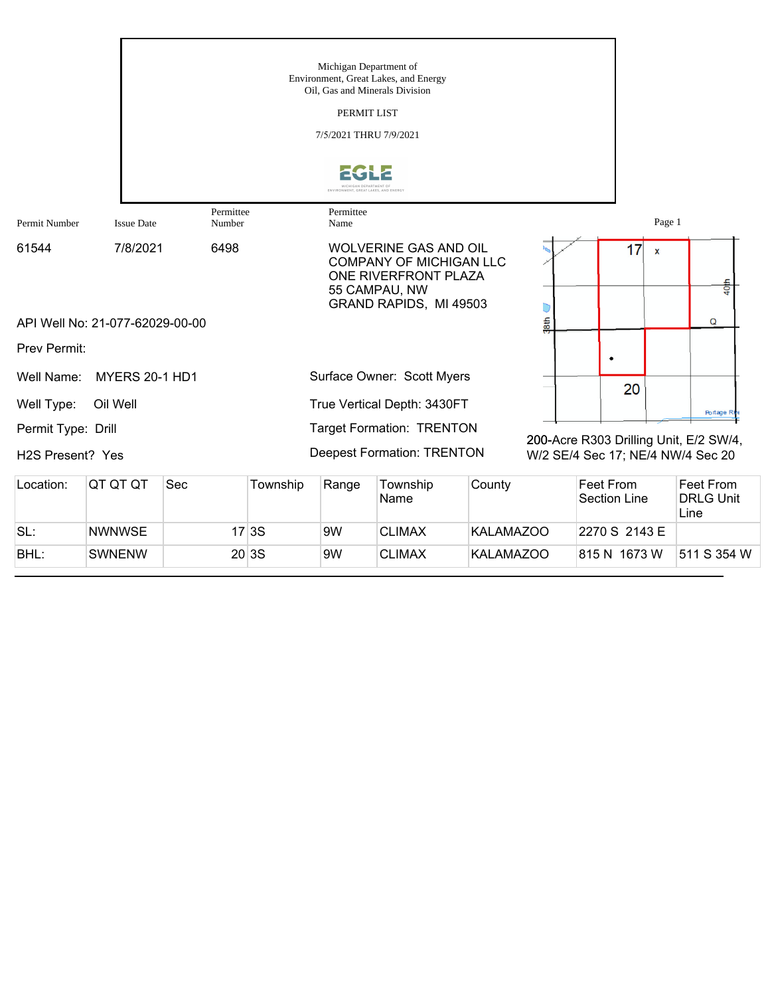|                                                     |                                 |                     |          | Michigan Department of<br>Oil, Gas and Minerals Division<br>PERMIT LIST<br>7/5/2021 THRU 7/9/2021 | Environment, Great Lakes, and Energy                                                                                              |        |                                                                             |           |        |                  |
|-----------------------------------------------------|---------------------------------|---------------------|----------|---------------------------------------------------------------------------------------------------|-----------------------------------------------------------------------------------------------------------------------------------|--------|-----------------------------------------------------------------------------|-----------|--------|------------------|
|                                                     |                                 |                     |          |                                                                                                   |                                                                                                                                   |        |                                                                             |           |        |                  |
| Permit Number                                       | <b>Issue Date</b>               | Permittee<br>Number |          | Permittee<br>Name                                                                                 |                                                                                                                                   |        |                                                                             |           | Page 1 |                  |
| 61544                                               | 7/8/2021                        | 6498                |          |                                                                                                   | <b>WOLVERINE GAS AND OIL</b><br><b>COMPANY OF MICHIGAN LLC</b><br>ONE RIVERFRONT PLAZA<br>55 CAMPAU, NW<br>GRAND RAPIDS, MI 49503 |        |                                                                             | 17        | X      | 40th             |
|                                                     | API Well No: 21-077-62029-00-00 |                     |          |                                                                                                   |                                                                                                                                   |        | 38 <sub>th</sub>                                                            |           |        | Q                |
| Prev Permit:                                        |                                 |                     |          |                                                                                                   |                                                                                                                                   |        |                                                                             |           |        |                  |
| Well Name:                                          | <b>MYERS 20-1 HD1</b>           |                     |          |                                                                                                   | Surface Owner: Scott Myers                                                                                                        |        |                                                                             | 20        |        |                  |
| Well Type:                                          | Oil Well                        |                     |          |                                                                                                   | True Vertical Depth: 3430FT                                                                                                       |        |                                                                             |           |        | Portage R        |
| Permit Type: Drill<br>H <sub>2</sub> S Present? Yes |                                 |                     |          | <b>Target Formation: TRENTON</b><br><b>Deepest Formation: TRENTON</b>                             |                                                                                                                                   |        | 200-Acre R303 Drilling Unit, E/2 SW/4,<br>W/2 SE/4 Sec 17; NE/4 NW/4 Sec 20 |           |        |                  |
| Location:                                           | QT QT QT                        | Sec                 | Township | Range                                                                                             | Township                                                                                                                          | County |                                                                             | Feet From |        | <b>Feet From</b> |

| Location: | IQT QT QT     | Sec | Township | Range | Township<br>Name | County           | ∣Feet From<br>Section Line | Feet From<br><b>IDRLG Unit</b><br>Line |
|-----------|---------------|-----|----------|-------|------------------|------------------|----------------------------|----------------------------------------|
| SL:       | <b>NWNWSE</b> |     | 17 3S    | 9W    | <b>CLIMAX</b>    | <b>KALAMAZOO</b> | 2270 S 2143 E              |                                        |
| BHL:      | <b>SWNENW</b> |     | 20 3S    | 9W    | <b>CLIMAX</b>    | <b>KALAMAZOO</b> | 815 N 1673 W               | 511 S 354 W                            |